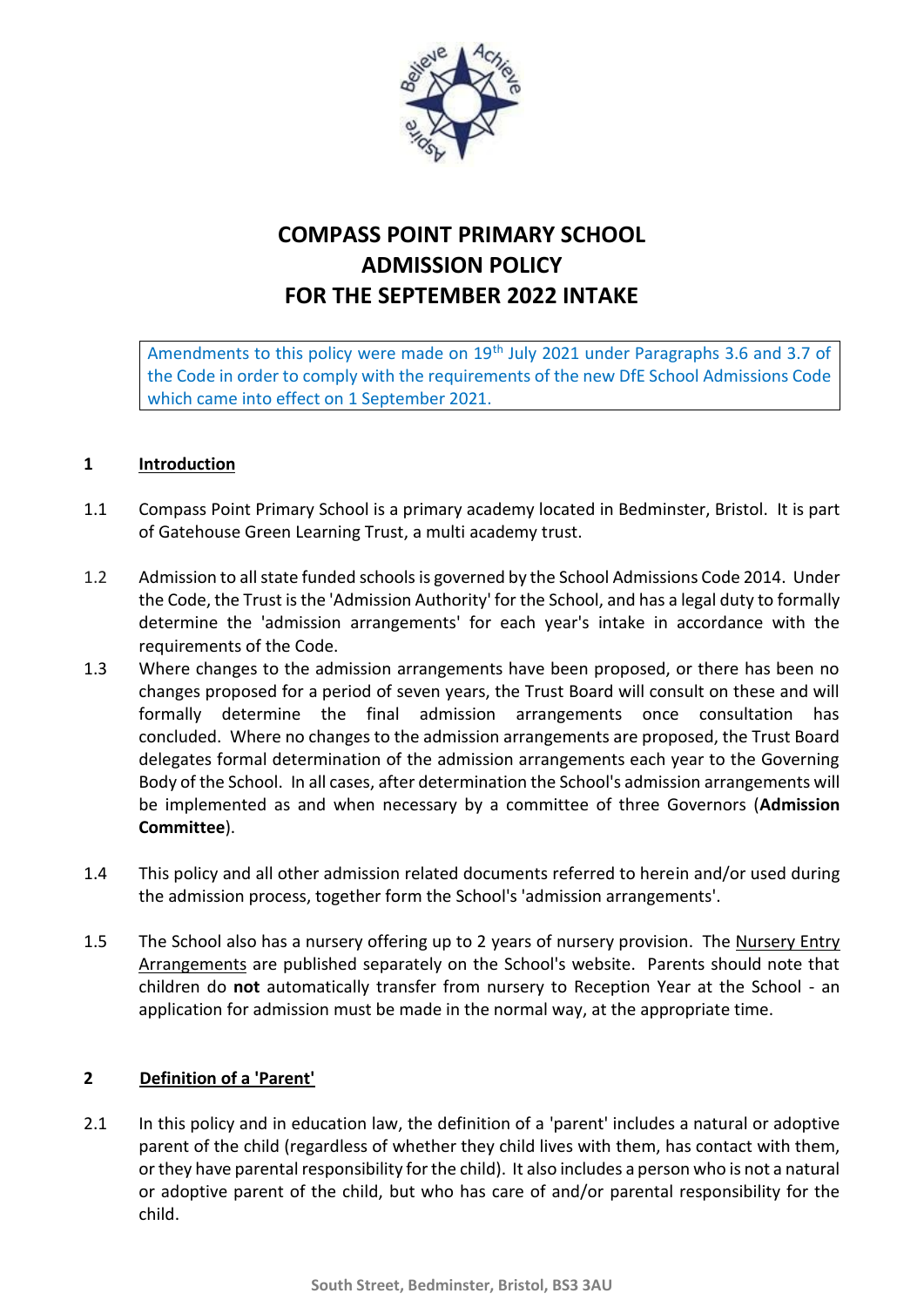

# **COMPASS POINT PRIMARY SCHOOL ADMISSION POLICY FOR THE SEPTEMBER 2022 INTAKE**

Amendments to this policy were made on 19<sup>th</sup> July 2021 under Paragraphs 3.6 and 3.7 of the Code in order to comply with the requirements of the new DfE School Admissions Code which came into effect on 1 September 2021.

#### **1 Introduction**

- 1.1 Compass Point Primary School is a primary academy located in Bedminster, Bristol. It is part of Gatehouse Green Learning Trust, a multi academy trust.
- 1.2 Admission to all state funded schools is governed by the School Admissions Code 2014. Under the Code, the Trust is the 'Admission Authority' for the School, and has a legal duty to formally determine the 'admission arrangements' for each year's intake in accordance with the requirements of the Code.
- 1.3 Where changes to the admission arrangements have been proposed, or there has been no changes proposed for a period of seven years, the Trust Board will consult on these and will formally determine the final admission arrangements once consultation has concluded. Where no changes to the admission arrangements are proposed, the Trust Board delegates formal determination of the admission arrangements each year to the Governing Body of the School. In all cases, after determination the School's admission arrangements will be implemented as and when necessary by a committee of three Governors (**Admission Committee**).
- 1.4 This policy and all other admission related documents referred to herein and/or used during the admission process, together form the School's 'admission arrangements'.
- 1.5 The School also has a nursery offering up to 2 years of nursery provision. The Nursery Entry Arrangements are published separately on the School's website. Parents should note that children do **not** automatically transfer from nursery to Reception Year at the School - an application for admission must be made in the normal way, at the appropriate time.

# **2 Definition of a 'Parent'**

2.1 In this policy and in education law, the definition of a 'parent' includes a natural or adoptive parent of the child (regardless of whether they child lives with them, has contact with them, or they have parental responsibility for the child). It also includes a person who is not a natural or adoptive parent of the child, but who has care of and/or parental responsibility for the child.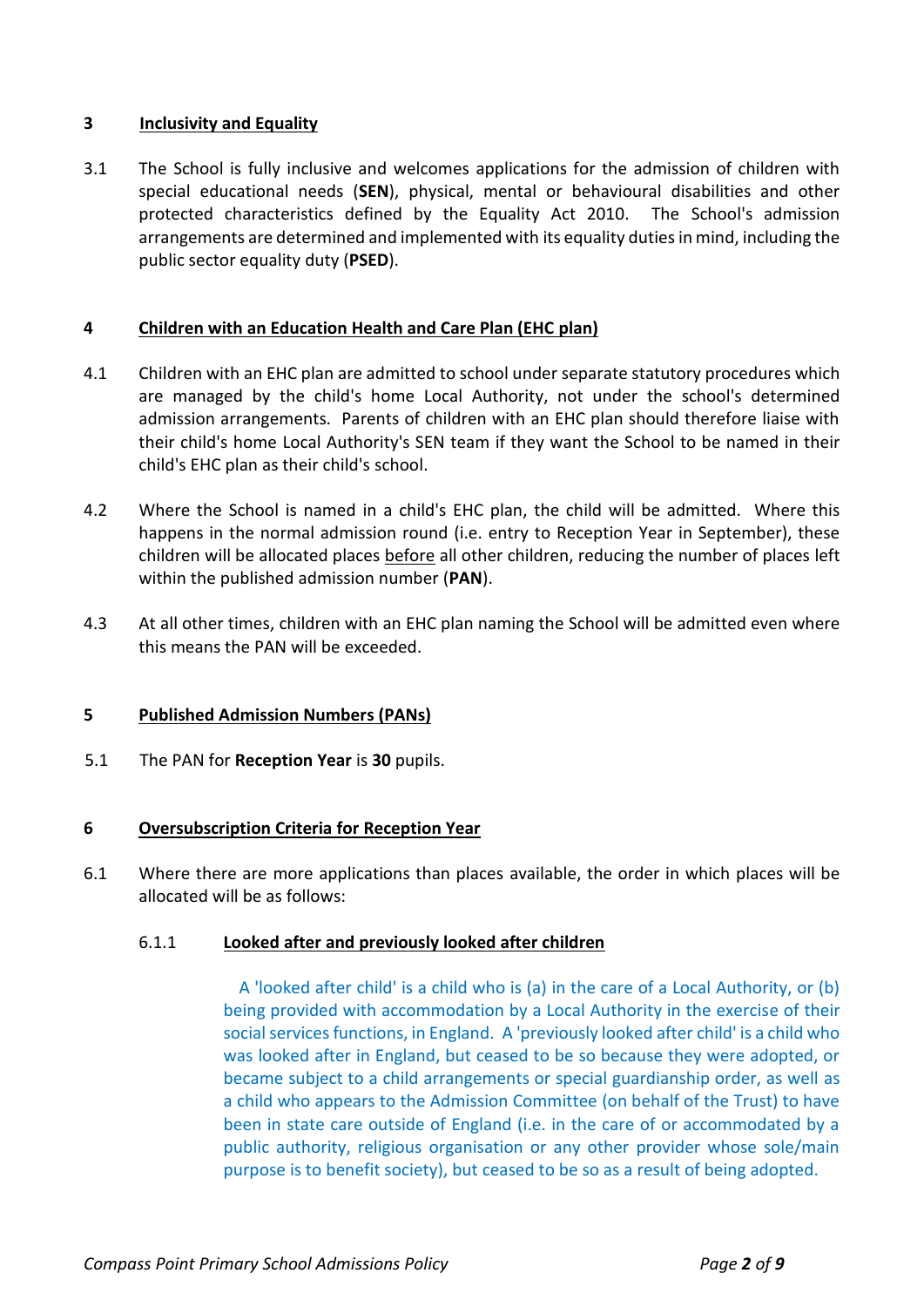# **3 Inclusivity and Equality**

3.1 The School is fully inclusive and welcomes applications for the admission of children with special educational needs (**SEN**), physical, mental or behavioural disabilities and other protected characteristics defined by the Equality Act 2010. The School's admission arrangements are determined and implemented with its equality duties in mind, including the public sector equality duty (**PSED**).

#### **4 Children with an Education Health and Care Plan (EHC plan)**

- 4.1 Children with an EHC plan are admitted to school under separate statutory procedures which are managed by the child's home Local Authority, not under the school's determined admission arrangements. Parents of children with an EHC plan should therefore liaise with their child's home Local Authority's SEN team if they want the School to be named in their child's EHC plan as their child's school.
- 4.2 Where the School is named in a child's EHC plan, the child will be admitted. Where this happens in the normal admission round (i.e. entry to Reception Year in September), these children will be allocated places before all other children, reducing the number of places left within the published admission number (**PAN**).
- 4.3 At all other times, children with an EHC plan naming the School will be admitted even where this means the PAN will be exceeded.

# **5 Published Admission Numbers (PANs)**

5.1 The PAN for **Reception Year** is **30** pupils.

# **6 Oversubscription Criteria for Reception Year**

6.1 Where there are more applications than places available, the order in which places will be allocated will be as follows:

#### 6.1.1 **Looked after and previously looked after children**

 A 'looked after child' is a child who is (a) in the care of a Local Authority, or (b) being provided with accommodation by a Local Authority in the exercise of their social services functions, in England. A 'previously looked after child' is a child who was looked after in England, but ceased to be so because they were adopted, or became subject to a child arrangements or special guardianship order, as well as a child who appears to the Admission Committee (on behalf of the Trust) to have been in state care outside of England (i.e. in the care of or accommodated by a public authority, religious organisation or any other provider whose sole/main purpose is to benefit society), but ceased to be so as a result of being adopted.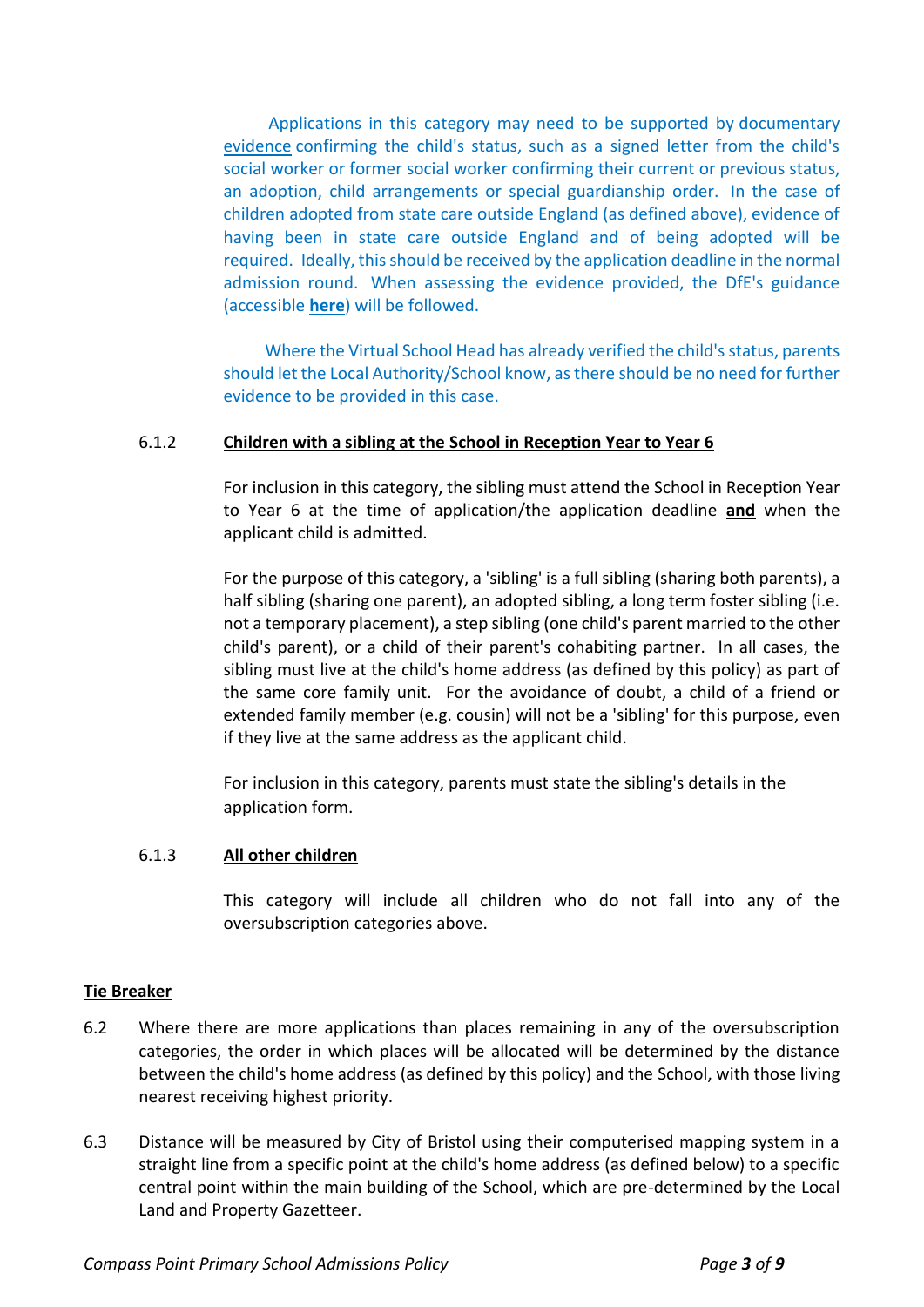Applications in this category may need to be supported by documentary evidence confirming the child's status, such as a signed letter from the child's social worker or former social worker confirming their current or previous status, an adoption, child arrangements or special guardianship order. In the case of children adopted from state care outside England (as defined above), evidence of having been in state care outside England and of being adopted will be required. Ideally, this should be received by the application deadline in the normal admission round. When assessing the evidence provided, the DfE's guidance (accessible **[here](https://www.gov.uk/government/publications/school-admissions-code--2?utm_medium=email&utm_campaign=govuk-notifications&utm_source=e8af7320-9466-4a6d-bf27-3e715ad506be&utm_content=immediately#history)**) will be followed.

 Where the Virtual School Head has already verified the child's status, parents should let the Local Authority/School know, as there should be no need for further evidence to be provided in this case.

#### 6.1.2 **Children with a sibling at the School in Reception Year to Year 6**

For inclusion in this category, the sibling must attend the School in Reception Year to Year 6 at the time of application/the application deadline **and** when the applicant child is admitted.

For the purpose of this category, a 'sibling' is a full sibling (sharing both parents), a half sibling (sharing one parent), an adopted sibling, a long term foster sibling (i.e. not a temporary placement), a step sibling (one child's parent married to the other child's parent), or a child of their parent's cohabiting partner. In all cases, the sibling must live at the child's home address (as defined by this policy) as part of the same core family unit. For the avoidance of doubt, a child of a friend or extended family member (e.g. cousin) will not be a 'sibling' for this purpose, even if they live at the same address as the applicant child.

For inclusion in this category, parents must state the sibling's details in the application form.

#### 6.1.3 **All other children**

This category will include all children who do not fall into any of the oversubscription categories above.

# **Tie Breaker**

- 6.2 Where there are more applications than places remaining in any of the oversubscription categories, the order in which places will be allocated will be determined by the distance between the child's home address (as defined by this policy) and the School, with those living nearest receiving highest priority.
- 6.3 Distance will be measured by City of Bristol using their computerised mapping system in a straight line from a specific point at the child's home address (as defined below) to a specific central point within the main building of the School, which are pre-determined by the Local Land and Property Gazetteer.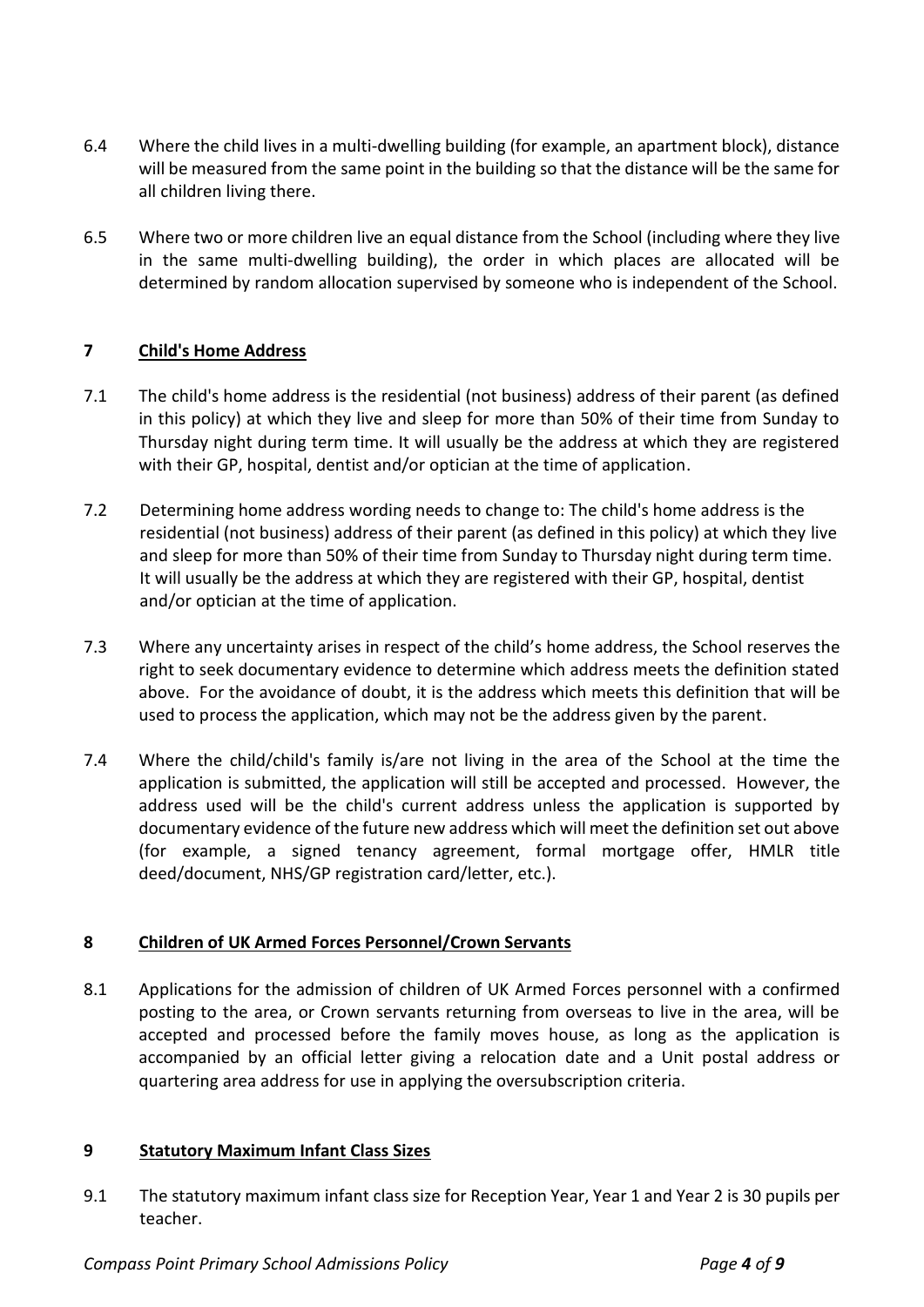- 6.4 Where the child lives in a multi-dwelling building (for example, an apartment block), distance will be measured from the same point in the building so that the distance will be the same for all children living there.
- 6.5 Where two or more children live an equal distance from the School (including where they live in the same multi-dwelling building), the order in which places are allocated will be determined by random allocation supervised by someone who is independent of the School.

# **7 Child's Home Address**

- 7.1 The child's home address is the residential (not business) address of their parent (as defined in this policy) at which they live and sleep for more than 50% of their time from Sunday to Thursday night during term time. It will usually be the address at which they are registered with their GP, hospital, dentist and/or optician at the time of application.
- 7.2 Determining home address wording needs to change to: The child's home address is the residential (not business) address of their parent (as defined in this policy) at which they live and sleep for more than 50% of their time from Sunday to Thursday night during term time. It will usually be the address at which they are registered with their GP, hospital, dentist and/or optician at the time of application.
- 7.3 Where any uncertainty arises in respect of the child's home address, the School reserves the right to seek documentary evidence to determine which address meets the definition stated above. For the avoidance of doubt, it is the address which meets this definition that will be used to process the application, which may not be the address given by the parent.
- 7.4 Where the child/child's family is/are not living in the area of the School at the time the application is submitted, the application will still be accepted and processed. However, the address used will be the child's current address unless the application is supported by documentary evidence of the future new address which will meet the definition set out above (for example, a signed tenancy agreement, formal mortgage offer, HMLR title deed/document, NHS/GP registration card/letter, etc.).

# **8 Children of UK Armed Forces Personnel/Crown Servants**

8.1 Applications for the admission of children of UK Armed Forces personnel with a confirmed posting to the area, or Crown servants returning from overseas to live in the area, will be accepted and processed before the family moves house, as long as the application is accompanied by an official letter giving a relocation date and a Unit postal address or quartering area address for use in applying the oversubscription criteria.

# **9 Statutory Maximum Infant Class Sizes**

9.1 The statutory maximum infant class size for Reception Year, Year 1 and Year 2 is 30 pupils per teacher.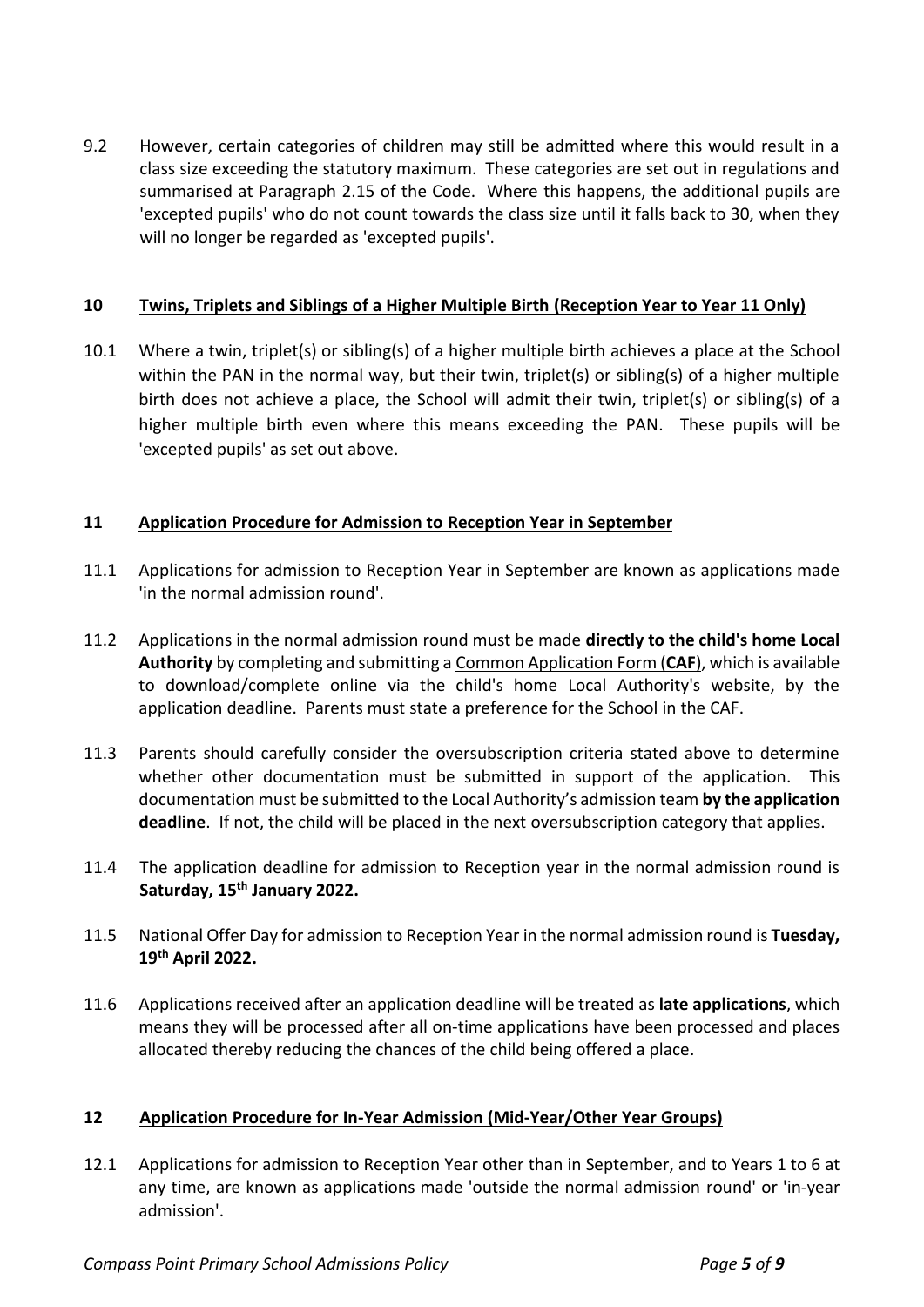9.2 However, certain categories of children may still be admitted where this would result in a class size exceeding the statutory maximum. These categories are set out in regulations and summarised at Paragraph 2.15 of the Code. Where this happens, the additional pupils are 'excepted pupils' who do not count towards the class size until it falls back to 30, when they will no longer be regarded as 'excepted pupils'.

#### **10 Twins, Triplets and Siblings of a Higher Multiple Birth (Reception Year to Year 11 Only)**

10.1 Where a twin, triplet(s) or sibling(s) of a higher multiple birth achieves a place at the School within the PAN in the normal way, but their twin, triplet(s) or sibling(s) of a higher multiple birth does not achieve a place, the School will admit their twin, triplet(s) or sibling(s) of a higher multiple birth even where this means exceeding the PAN. These pupils will be 'excepted pupils' as set out above.

# **11 Application Procedure for Admission to Reception Year in September**

- 11.1 Applications for admission to Reception Year in September are known as applications made 'in the normal admission round'.
- 11.2 Applications in the normal admission round must be made **directly to the child's home Local Authority** by completing and submitting a Common Application Form (**CAF**), which is available to download/complete online via the child's home Local Authority's website, by the application deadline. Parents must state a preference for the School in the CAF.
- 11.3 Parents should carefully consider the oversubscription criteria stated above to determine whether other documentation must be submitted in support of the application. This documentation must be submitted to the Local Authority's admission team **by the application deadline**. If not, the child will be placed in the next oversubscription category that applies.
- 11.4 The application deadline for admission to Reception year in the normal admission round is **Saturday, 15 th January 2022.**
- 11.5 National Offer Day for admission to Reception Year in the normal admission round is **Tuesday, 19 th April 2022.**
- 11.6 Applications received after an application deadline will be treated as **late applications**, which means they will be processed after all on-time applications have been processed and places allocated thereby reducing the chances of the child being offered a place.

# **12 Application Procedure for In-Year Admission (Mid-Year/Other Year Groups)**

12.1 Applications for admission to Reception Year other than in September, and to Years 1 to 6 at any time, are known as applications made 'outside the normal admission round' or 'in-year admission'.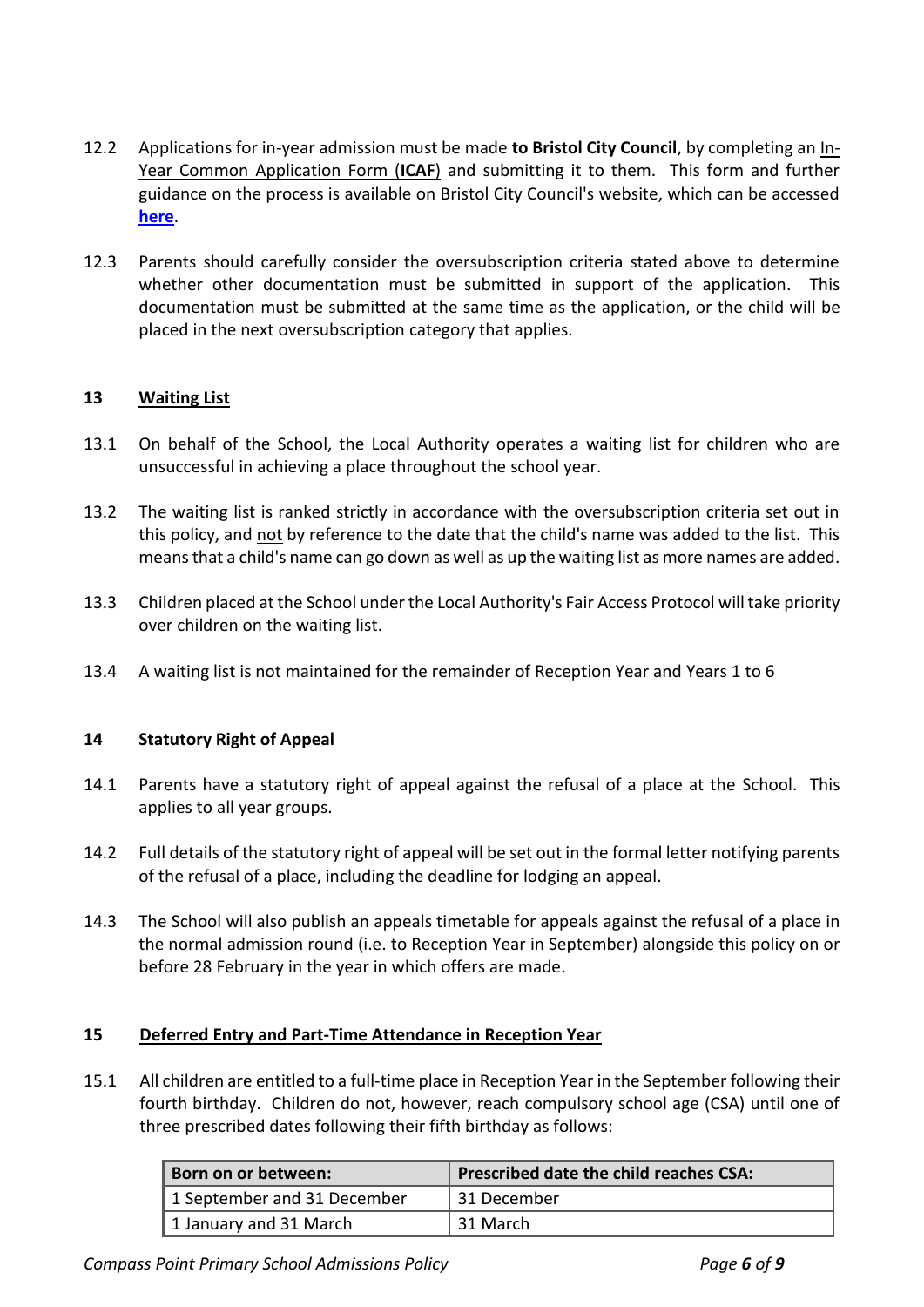- 12.2 Applications for in-year admission must be made **to Bristol City Council**, by completing an In-Year Common Application Form (**ICAF**) and submitting it to them. This form and further guidance on the process is available on Bristol City Council's website, which can be accessed **[here](http://www.bristol.gov.uk/schools-learning-early-years/in-year-admission)**.
- 12.3 Parents should carefully consider the oversubscription criteria stated above to determine whether other documentation must be submitted in support of the application. This documentation must be submitted at the same time as the application, or the child will be placed in the next oversubscription category that applies.

# **13 Waiting List**

- 13.1 On behalf of the School, the Local Authority operates a waiting list for children who are unsuccessful in achieving a place throughout the school year.
- 13.2 The waiting list is ranked strictly in accordance with the oversubscription criteria set out in this policy, and not by reference to the date that the child's name was added to the list. This means that a child's name can go down as well as up the waiting list as more names are added.
- 13.3 Children placed at the School under the Local Authority's Fair Access Protocol will take priority over children on the waiting list.
- 13.4 A waiting list is not maintained for the remainder of Reception Year and Years 1 to 6

# **14 Statutory Right of Appeal**

- 14.1 Parents have a statutory right of appeal against the refusal of a place at the School. This applies to all year groups.
- 14.2 Full details of the statutory right of appeal will be set out in the formal letter notifying parents of the refusal of a place, including the deadline for lodging an appeal.
- 14.3 The School will also publish an appeals timetable for appeals against the refusal of a place in the normal admission round (i.e. to Reception Year in September) alongside this policy on or before 28 February in the year in which offers are made.

#### **15 Deferred Entry and Part-Time Attendance in Reception Year**

15.1 All children are entitled to a full-time place in Reception Year in the September following their fourth birthday. Children do not, however, reach compulsory school age (CSA) until one of three prescribed dates following their fifth birthday as follows:

| Born on or between:         | Prescribed date the child reaches CSA: |
|-----------------------------|----------------------------------------|
| 1 September and 31 December | 31 December                            |
| 1 January and 31 March      | l 31 March                             |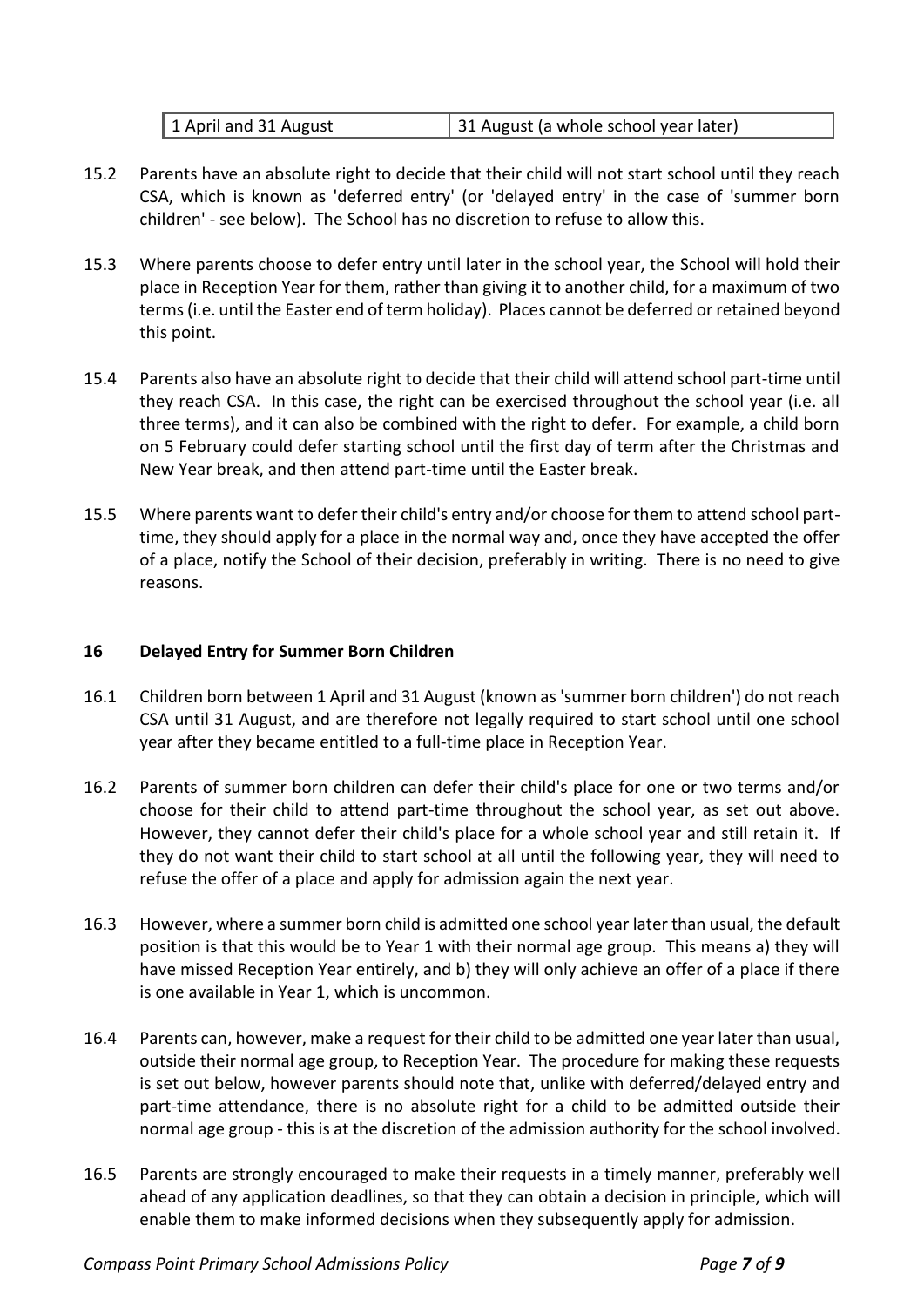| 1 April and 31 August | 31 August (a whole school year later) |
|-----------------------|---------------------------------------|
|                       |                                       |

- 15.2 Parents have an absolute right to decide that their child will not start school until they reach CSA, which is known as 'deferred entry' (or 'delayed entry' in the case of 'summer born children' - see below). The School has no discretion to refuse to allow this.
- 15.3 Where parents choose to defer entry until later in the school year, the School will hold their place in Reception Year for them, rather than giving it to another child, for a maximum of two terms (i.e. until the Easter end of term holiday). Places cannot be deferred or retained beyond this point.
- 15.4 Parents also have an absolute right to decide that their child will attend school part-time until they reach CSA. In this case, the right can be exercised throughout the school year (i.e. all three terms), and it can also be combined with the right to defer. For example, a child born on 5 February could defer starting school until the first day of term after the Christmas and New Year break, and then attend part-time until the Easter break.
- 15.5 Where parents want to defer their child's entry and/or choose for them to attend school parttime, they should apply for a place in the normal way and, once they have accepted the offer of a place, notify the School of their decision, preferably in writing. There is no need to give reasons.

#### **16 Delayed Entry for Summer Born Children**

- 16.1 Children born between 1 April and 31 August (known as 'summer born children') do not reach CSA until 31 August, and are therefore not legally required to start school until one school year after they became entitled to a full-time place in Reception Year.
- 16.2 Parents of summer born children can defer their child's place for one or two terms and/or choose for their child to attend part-time throughout the school year, as set out above. However, they cannot defer their child's place for a whole school year and still retain it. If they do not want their child to start school at all until the following year, they will need to refuse the offer of a place and apply for admission again the next year.
- 16.3 However, where a summer born child is admitted one school year later than usual, the default position is that this would be to Year 1 with their normal age group. This means a) they will have missed Reception Year entirely, and b) they will only achieve an offer of a place if there is one available in Year 1, which is uncommon.
- 16.4 Parents can, however, make a request for their child to be admitted one year later than usual, outside their normal age group, to Reception Year. The procedure for making these requests is set out below, however parents should note that, unlike with deferred/delayed entry and part-time attendance, there is no absolute right for a child to be admitted outside their normal age group - this is at the discretion of the admission authority for the school involved.
- 16.5 Parents are strongly encouraged to make their requests in a timely manner, preferably well ahead of any application deadlines, so that they can obtain a decision in principle, which will enable them to make informed decisions when they subsequently apply for admission.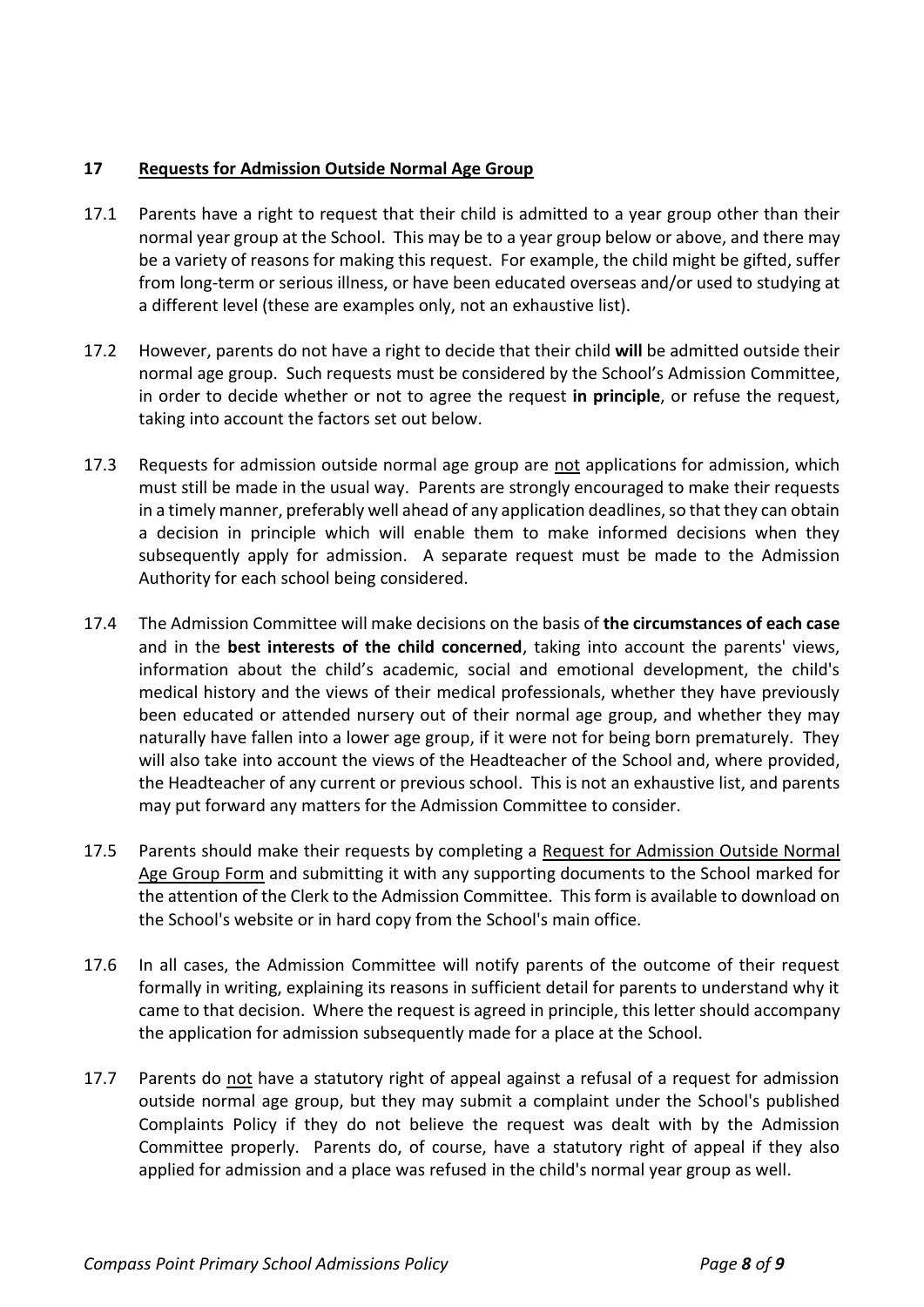# **17 Requests for Admission Outside Normal Age Group**

- 17.1 Parents have a right to request that their child is admitted to a year group other than their normal year group at the School. This may be to a year group below or above, and there may be a variety of reasons for making this request. For example, the child might be gifted, suffer from long-term or serious illness, or have been educated overseas and/or used to studying at a different level (these are examples only, not an exhaustive list).
- 17.2 However, parents do not have a right to decide that their child **will** be admitted outside their normal age group. Such requests must be considered by the School's Admission Committee, in order to decide whether or not to agree the request **in principle**, or refuse the request, taking into account the factors set out below.
- 17.3 Requests for admission outside normal age group are not applications for admission, which must still be made in the usual way. Parents are strongly encouraged to make their requests in a timely manner, preferably well ahead of any application deadlines, so that they can obtain a decision in principle which will enable them to make informed decisions when they subsequently apply for admission. A separate request must be made to the Admission Authority for each school being considered.
- 17.4 The Admission Committee will make decisions on the basis of **the circumstances of each case** and in the **best interests of the child concerned**, taking into account the parents' views, information about the child's academic, social and emotional development, the child's medical history and the views of their medical professionals, whether they have previously been educated or attended nursery out of their normal age group, and whether they may naturally have fallen into a lower age group, if it were not for being born prematurely. They will also take into account the views of the Headteacher of the School and, where provided, the Headteacher of any current or previous school. This is not an exhaustive list, and parents may put forward any matters for the Admission Committee to consider.
- 17.5 Parents should make their requests by completing a Request for Admission Outside Normal Age Group Form and submitting it with any supporting documents to the School marked for the attention of the Clerk to the Admission Committee. This form is available to download on the School's website or in hard copy from the School's main office.
- 17.6 In all cases, the Admission Committee will notify parents of the outcome of their request formally in writing, explaining its reasons in sufficient detail for parents to understand why it came to that decision. Where the request is agreed in principle, this letter should accompany the application for admission subsequently made for a place at the School.
- 17.7 Parents do not have a statutory right of appeal against a refusal of a request for admission outside normal age group, but they may submit a complaint under the School's published Complaints Policy if they do not believe the request was dealt with by the Admission Committee properly. Parents do, of course, have a statutory right of appeal if they also applied for admission and a place was refused in the child's normal year group as well.